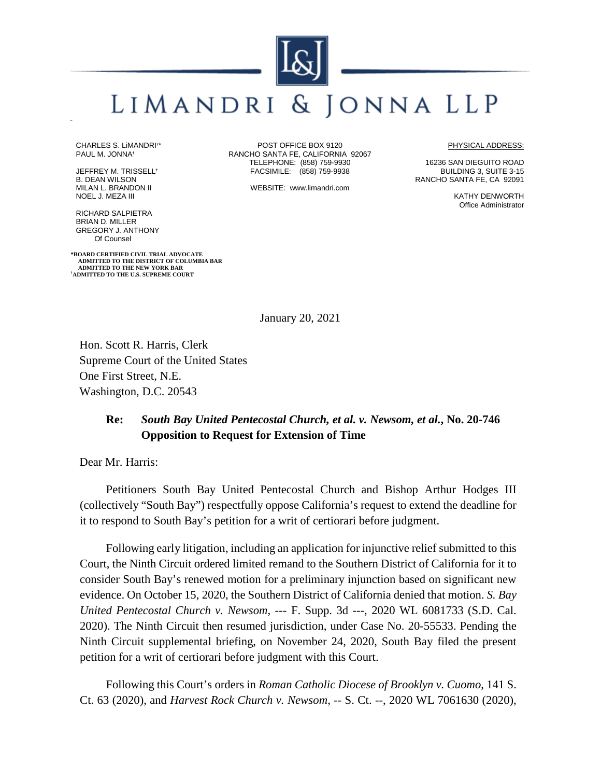## LIMANDRI & JONNA LLP

CHARLES S. LiMANDRI**†** \* PAUL M. JONNA**†**

JEFFREY M. TRISSELL**†** B. DEAN WILSON MILAN L. BRANDON II NOEL J. MEZA III

RICHARD SALPIETRA BRIAN D. MILLER GREGORY J. ANTHONY Of Counsel

**\*BOARD CERTIFIED CIVIL TRIAL ADVOCATE ADMITTED TO THE DISTRICT OF COLUMBIA BAR ADMITTED TO THE NEW YORK BAR † ADMITTED TO THE U.S. SUPREME COURT**

POST OFFICE BOX 9120 RANCHO SANTA FE, CALIFORNIA 92067 TELEPHONE: (858) 759-9930 FACSIMILE: (858) 759-9938

WEBSITE: www.limandri.com

PHYSICAL ADDRESS:

16236 SAN DIEGUITO ROAD BUILDING 3, SUITE 3-15 RANCHO SANTA FE, CA 92091

> KATHY DENWORTH Office Administrator

January 20, 2021

Hon. Scott R. Harris, Clerk Supreme Court of the United States One First Street, N.E. Washington, D.C. 20543

## **Re:** *South Bay United Pentecostal Church, et al. v. Newsom, et al.***, No. 20-746 Opposition to Request for Extension of Time**

Dear Mr. Harris:

Petitioners South Bay United Pentecostal Church and Bishop Arthur Hodges III (collectively "South Bay") respectfully oppose California's request to extend the deadline for it to respond to South Bay's petition for a writ of certiorari before judgment.

Following early litigation, including an application for injunctive relief submitted to this Court, the Ninth Circuit ordered limited remand to the Southern District of California for it to consider South Bay's renewed motion for a preliminary injunction based on significant new evidence. On October 15, 2020, the Southern District of California denied that motion. *S. Bay United Pentecostal Church v. Newsom*, --- F. Supp. 3d ---, 2020 WL 6081733 (S.D. Cal. 2020). The Ninth Circuit then resumed jurisdiction, under Case No. 20-55533. Pending the Ninth Circuit supplemental briefing, on November 24, 2020, South Bay filed the present petition for a writ of certiorari before judgment with this Court.

Following this Court's orders in *Roman Catholic Diocese of Brooklyn v. Cuomo*, 141 S. Ct. 63 (2020), and *Harvest Rock Church v. Newsom*, -- S. Ct. --, 2020 WL 7061630 (2020),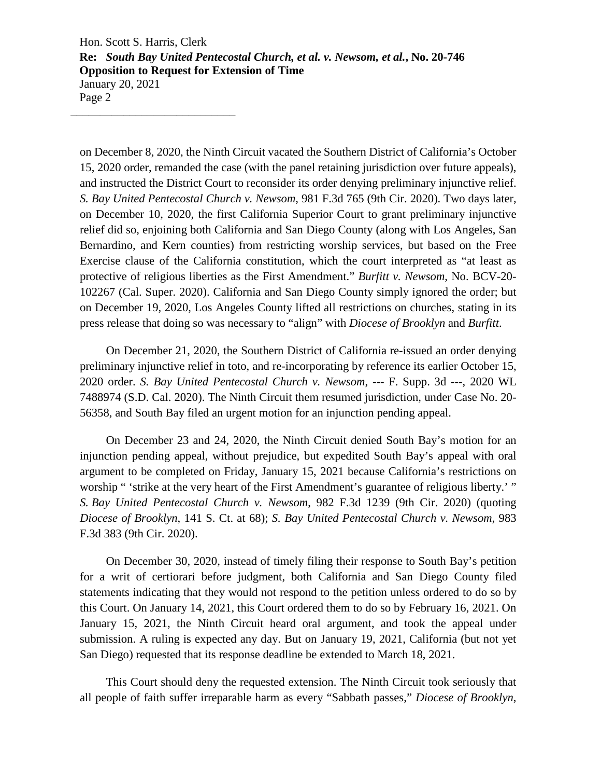Hon. Scott S. Harris, Clerk **Re:** *South Bay United Pentecostal Church, et al. v. Newsom, et al.***, No. 20-746 Opposition to Request for Extension of Time** January 20, 2021 Page 2 \_\_\_\_\_\_\_\_\_\_\_\_\_\_\_\_\_\_\_\_\_\_\_\_\_\_\_\_

on December 8, 2020, the Ninth Circuit vacated the Southern District of California's October 15, 2020 order, remanded the case (with the panel retaining jurisdiction over future appeals), and instructed the District Court to reconsider its order denying preliminary injunctive relief. *S. Bay United Pentecostal Church v. Newsom*, 981 F.3d 765 (9th Cir. 2020). Two days later, on December 10, 2020, the first California Superior Court to grant preliminary injunctive relief did so, enjoining both California and San Diego County (along with Los Angeles, San Bernardino, and Kern counties) from restricting worship services, but based on the Free Exercise clause of the California constitution, which the court interpreted as "at least as protective of religious liberties as the First Amendment." *Burfitt v. Newsom*, No. BCV-20- 102267 (Cal. Super. 2020). California and San Diego County simply ignored the order; but on December 19, 2020, Los Angeles County lifted all restrictions on churches, stating in its press release that doing so was necessary to "align" with *Diocese of Brooklyn* and *Burfitt*.

On December 21, 2020, the Southern District of California re-issued an order denying preliminary injunctive relief in toto, and re-incorporating by reference its earlier October 15, 2020 order. *S. Bay United Pentecostal Church v. Newsom*, --- F. Supp. 3d ---, 2020 WL 7488974 (S.D. Cal. 2020). The Ninth Circuit them resumed jurisdiction, under Case No. 20- 56358, and South Bay filed an urgent motion for an injunction pending appeal.

On December 23 and 24, 2020, the Ninth Circuit denied South Bay's motion for an injunction pending appeal, without prejudice, but expedited South Bay's appeal with oral argument to be completed on Friday, January 15, 2021 because California's restrictions on worship " 'strike at the very heart of the First Amendment's guarantee of religious liberty.' " *S. Bay United Pentecostal Church v. Newsom*, 982 F.3d 1239 (9th Cir. 2020) (quoting *Diocese of Brooklyn*, 141 S. Ct. at 68); *S. Bay United Pentecostal Church v. Newsom*, 983 F.3d 383 (9th Cir. 2020).

On December 30, 2020, instead of timely filing their response to South Bay's petition for a writ of certiorari before judgment, both California and San Diego County filed statements indicating that they would not respond to the petition unless ordered to do so by this Court. On January 14, 2021, this Court ordered them to do so by February 16, 2021. On January 15, 2021, the Ninth Circuit heard oral argument, and took the appeal under submission. A ruling is expected any day. But on January 19, 2021, California (but not yet San Diego) requested that its response deadline be extended to March 18, 2021.

This Court should deny the requested extension. The Ninth Circuit took seriously that all people of faith suffer irreparable harm as every "Sabbath passes," *Diocese of Brooklyn*,